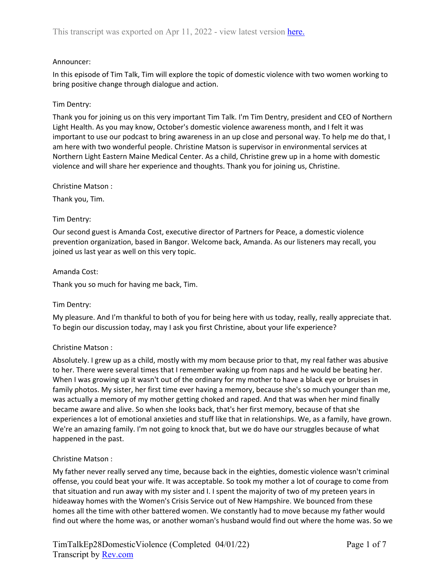### Announcer:

In this episode of Tim Talk, Tim will explore the topic of domestic violence with two women working to bring positive change through dialogue and action.

### Tim Dentry:

Thank you for joining us on this very important Tim Talk. I'm Tim Dentry, president and CEO of Northern Light Health. As you may know, October's domestic violence awareness month, and I felt it was important to use our podcast to bring awareness in an up close and personal way. To help me do that, I am here with two wonderful people. Christine Matson is supervisor in environmental services at Northern Light Eastern Maine Medical Center. As a child, Christine grew up in a home with domestic violence and will share her experience and thoughts. Thank you for joining us, Christine.

Christine Matson :

Thank you, Tim.

#### Tim Dentry:

Our second guest is Amanda Cost, executive director of Partners for Peace, a domestic violence prevention organization, based in Bangor. Welcome back, Amanda. As our listeners may recall, you joined us last year as well on this very topic.

#### Amanda Cost:

Thank you so much for having me back, Tim.

#### Tim Dentry:

My pleasure. And I'm thankful to both of you for being here with us today, really, really appreciate that. To begin our discussion today, may I ask you first Christine, about your life experience?

#### Christine Matson :

Absolutely. I grew up as a child, mostly with my mom because prior to that, my real father was abusive to her. There were several times that I remember waking up from naps and he would be beating her. When I was growing up it wasn't out of the ordinary for my mother to have a black eye or bruises in family photos. My sister, her first time ever having a memory, because she's so much younger than me, was actually a memory of my mother getting choked and raped. And that was when her mind finally became aware and alive. So when she looks back, that's her first memory, because of that she experiences a lot of emotional anxieties and stuff like that in relationships. We, as a family, have grown. We're an amazing family. I'm not going to knock that, but we do have our struggles because of what happened in the past.

#### Christine Matson :

My father never really served any time, because back in the eighties, domestic violence wasn't criminal offense, you could beat your wife. It was acceptable. So took my mother a lot of courage to come from that situation and run away with my sister and I. I spent the majority of two of my preteen years in hideaway homes with the Women's Crisis Service out of New Hampshire. We bounced from these homes all the time with other battered women. We constantly had to move because my father would find out where the home was, or another woman's husband would find out where the home was. So we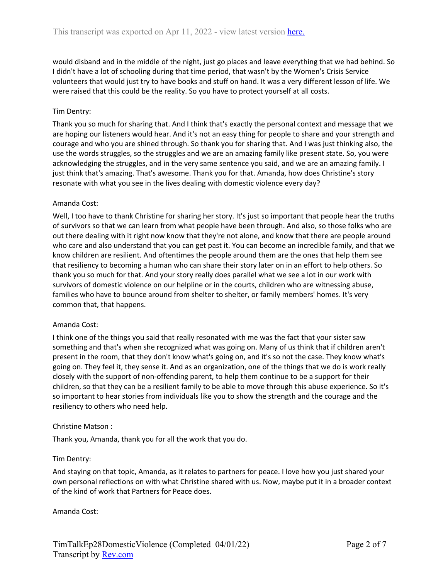would disband and in the middle of the night, just go places and leave everything that we had behind. So I didn't have a lot of schooling during that time period, that wasn't by the Women's Crisis Service volunteers that would just try to have books and stuff on hand. It was a very different lesson of life. We were raised that this could be the reality. So you have to protect yourself at all costs.

## Tim Dentry:

Thank you so much for sharing that. And I think that's exactly the personal context and message that we are hoping our listeners would hear. And it's not an easy thing for people to share and your strength and courage and who you are shined through. So thank you for sharing that. And I was just thinking also, the use the words struggles, so the struggles and we are an amazing family like present state. So, you were acknowledging the struggles, and in the very same sentence you said, and we are an amazing family. I just think that's amazing. That's awesome. Thank you for that. Amanda, how does Christine's story resonate with what you see in the lives dealing with domestic violence every day?

## Amanda Cost:

Well, I too have to thank Christine for sharing her story. It's just so important that people hear the truths of survivors so that we can learn from what people have been through. And also, so those folks who are out there dealing with it right now know that they're not alone, and know that there are people around who care and also understand that you can get past it. You can become an incredible family, and that we know children are resilient. And oftentimes the people around them are the ones that help them see that resiliency to becoming a human who can share their story later on in an effort to help others. So thank you so much for that. And your story really does parallel what we see a lot in our work with survivors of domestic violence on our helpline or in the courts, children who are witnessing abuse, families who have to bounce around from shelter to shelter, or family members' homes. It's very common that, that happens.

#### Amanda Cost:

I think one of the things you said that really resonated with me was the fact that your sister saw something and that's when she recognized what was going on. Many of us think that if children aren't present in the room, that they don't know what's going on, and it's so not the case. They know what's going on. They feel it, they sense it. And as an organization, one of the things that we do is work really closely with the support of non-offending parent, to help them continue to be a support for their children, so that they can be a resilient family to be able to move through this abuse experience. So it's so important to hear stories from individuals like you to show the strength and the courage and the resiliency to others who need help.

#### Christine Matson :

Thank you, Amanda, thank you for all the work that you do.

#### Tim Dentry:

And staying on that topic, Amanda, as it relates to partners for peace. I love how you just shared your own personal reflections on with what Christine shared with us. Now, maybe put it in a broader context of the kind of work that Partners for Peace does.

Amanda Cost: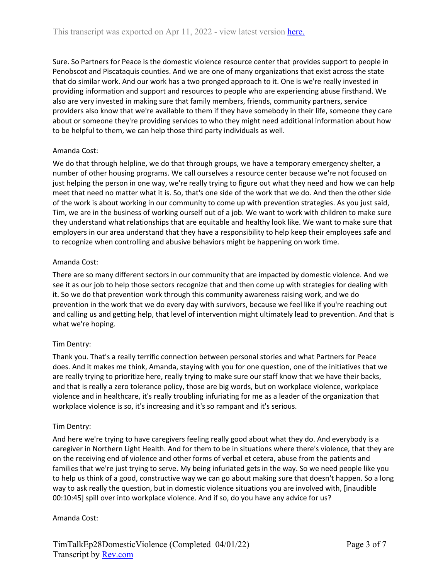Sure. So Partners for Peace is the domestic violence resource center that provides support to people in Penobscot and Piscataquis counties. And we are one of many organizations that exist across the state that do similar work. And our work has a two pronged approach to it. One is we're really invested in providing information and support and resources to people who are experiencing abuse firsthand. We also are very invested in making sure that family members, friends, community partners, service providers also know that we're available to them if they have somebody in their life, someone they care about or someone they're providing services to who they might need additional information about how to be helpful to them, we can help those third party individuals as well.

# Amanda Cost:

We do that through helpline, we do that through groups, we have a temporary emergency shelter, a number of other housing programs. We call ourselves a resource center because we're not focused on just helping the person in one way, we're really trying to figure out what they need and how we can help meet that need no matter what it is. So, that's one side of the work that we do. And then the other side of the work is about working in our community to come up with prevention strategies. As you just said, Tim, we are in the business of working ourself out of a job. We want to work with children to make sure they understand what relationships that are equitable and healthy look like. We want to make sure that employers in our area understand that they have a responsibility to help keep their employees safe and to recognize when controlling and abusive behaviors might be happening on work time.

## Amanda Cost:

There are so many different sectors in our community that are impacted by domestic violence. And we see it as our job to help those sectors recognize that and then come up with strategies for dealing with it. So we do that prevention work through this community awareness raising work, and we do prevention in the work that we do every day with survivors, because we feel like if you're reaching out and calling us and getting help, that level of intervention might ultimately lead to prevention. And that is what we're hoping.

# Tim Dentry:

Thank you. That's a really terrific connection between personal stories and what Partners for Peace does. And it makes me think, Amanda, staying with you for one question, one of the initiatives that we are really trying to prioritize here, really trying to make sure our staff know that we have their backs, and that is really a zero tolerance policy, those are big words, but on workplace violence, workplace violence and in healthcare, it's really troubling infuriating for me as a leader of the organization that workplace violence is so, it's increasing and it's so rampant and it's serious.

## Tim Dentry:

And here we're trying to have caregivers feeling really good about what they do. And everybody is a caregiver in Northern Light Health. And for them to be in situations where there's violence, that they are on the receiving end of violence and other forms of verbal et cetera, abuse from the patients and families that we're just trying to serve. My being infuriated gets in the way. So we need people like you to help us think of a good, constructive way we can go about making sure that doesn't happen. So a long way to ask really the question, but in domestic violence situations you are involved with, [inaudible 00:10:45] spill over into workplace violence. And if so, do you have any advice for us?

## Amanda Cost: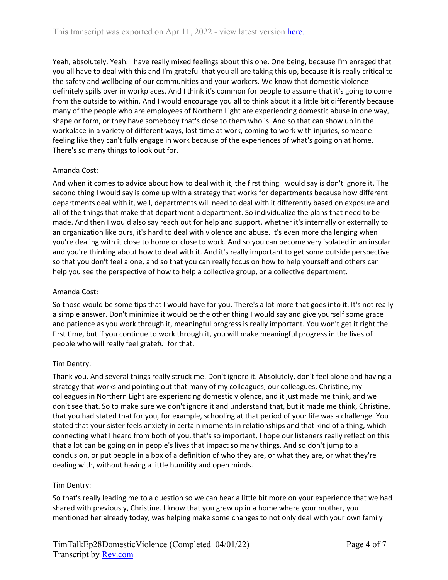Yeah, absolutely. Yeah. I have really mixed feelings about this one. One being, because I'm enraged that you all have to deal with this and I'm grateful that you all are taking this up, because it is really critical to the safety and wellbeing of our communities and your workers. We know that domestic violence definitely spills over in workplaces. And I think it's common for people to assume that it's going to come from the outside to within. And I would encourage you all to think about it a little bit differently because many of the people who are employees of Northern Light are experiencing domestic abuse in one way, shape or form, or they have somebody that's close to them who is. And so that can show up in the workplace in a variety of different ways, lost time at work, coming to work with injuries, someone feeling like they can't fully engage in work because of the experiences of what's going on at home. There's so many things to look out for.

## Amanda Cost:

And when it comes to advice about how to deal with it, the first thing I would say is don't ignore it. The second thing I would say is come up with a strategy that works for departments because how different departments deal with it, well, departments will need to deal with it differently based on exposure and all of the things that make that department a department. So individualize the plans that need to be made. And then I would also say reach out for help and support, whether it's internally or externally to an organization like ours, it's hard to deal with violence and abuse. It's even more challenging when you're dealing with it close to home or close to work. And so you can become very isolated in an insular and you're thinking about how to deal with it. And it's really important to get some outside perspective so that you don't feel alone, and so that you can really focus on how to help yourself and others can help you see the perspective of how to help a collective group, or a collective department.

## Amanda Cost:

So those would be some tips that I would have for you. There's a lot more that goes into it. It's not really a simple answer. Don't minimize it would be the other thing I would say and give yourself some grace and patience as you work through it, meaningful progress is really important. You won't get it right the first time, but if you continue to work through it, you will make meaningful progress in the lives of people who will really feel grateful for that.

## Tim Dentry:

Thank you. And several things really struck me. Don't ignore it. Absolutely, don't feel alone and having a strategy that works and pointing out that many of my colleagues, our colleagues, Christine, my colleagues in Northern Light are experiencing domestic violence, and it just made me think, and we don't see that. So to make sure we don't ignore it and understand that, but it made me think, Christine, that you had stated that for you, for example, schooling at that period of your life was a challenge. You stated that your sister feels anxiety in certain moments in relationships and that kind of a thing, which connecting what I heard from both of you, that's so important, I hope our listeners really reflect on this that a lot can be going on in people's lives that impact so many things. And so don't jump to a conclusion, or put people in a box of a definition of who they are, or what they are, or what they're dealing with, without having a little humility and open minds.

## Tim Dentry:

So that's really leading me to a question so we can hear a little bit more on your experience that we had shared with previously, Christine. I know that you grew up in a home where your mother, you mentioned her already today, was helping make some changes to not only deal with your own family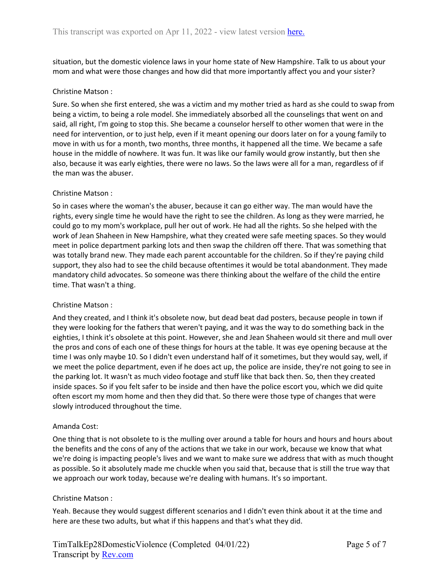situation, but the domestic violence laws in your home state of New Hampshire. Talk to us about your mom and what were those changes and how did that more importantly affect you and your sister?

#### Christine Matson :

Sure. So when she first entered, she was a victim and my mother tried as hard as she could to swap from being a victim, to being a role model. She immediately absorbed all the counselings that went on and said, all right, I'm going to stop this. She became a counselor herself to other women that were in the need for intervention, or to just help, even if it meant opening our doors later on for a young family to move in with us for a month, two months, three months, it happened all the time. We became a safe house in the middle of nowhere. It was fun. It was like our family would grow instantly, but then she also, because it was early eighties, there were no laws. So the laws were all for a man, regardless of if the man was the abuser.

#### Christine Matson :

So in cases where the woman's the abuser, because it can go either way. The man would have the rights, every single time he would have the right to see the children. As long as they were married, he could go to my mom's workplace, pull her out of work. He had all the rights. So she helped with the work of Jean Shaheen in New Hampshire, what they created were safe meeting spaces. So they would meet in police department parking lots and then swap the children off there. That was something that was totally brand new. They made each parent accountable for the children. So if they're paying child support, they also had to see the child because oftentimes it would be total abandonment. They made mandatory child advocates. So someone was there thinking about the welfare of the child the entire time. That wasn't a thing.

#### Christine Matson :

And they created, and I think it's obsolete now, but dead beat dad posters, because people in town if they were looking for the fathers that weren't paying, and it was the way to do something back in the eighties, I think it's obsolete at this point. However, she and Jean Shaheen would sit there and mull over the pros and cons of each one of these things for hours at the table. It was eye opening because at the time I was only maybe 10. So I didn't even understand half of it sometimes, but they would say, well, if we meet the police department, even if he does act up, the police are inside, they're not going to see in the parking lot. It wasn't as much video footage and stuff like that back then. So, then they created inside spaces. So if you felt safer to be inside and then have the police escort you, which we did quite often escort my mom home and then they did that. So there were those type of changes that were slowly introduced throughout the time.

#### Amanda Cost:

One thing that is not obsolete to is the mulling over around a table for hours and hours and hours about the benefits and the cons of any of the actions that we take in our work, because we know that what we're doing is impacting people's lives and we want to make sure we address that with as much thought as possible. So it absolutely made me chuckle when you said that, because that is still the true way that we approach our work today, because we're dealing with humans. It's so important.

#### Christine Matson :

Yeah. Because they would suggest different scenarios and I didn't even think about it at the time and here are these two adults, but what if this happens and that's what they did.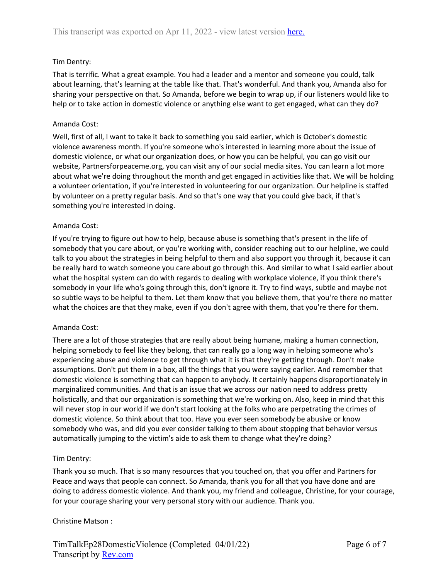## Tim Dentry:

That is terrific. What a great example. You had a leader and a mentor and someone you could, talk about learning, that's learning at the table like that. That's wonderful. And thank you, Amanda also for sharing your perspective on that. So Amanda, before we begin to wrap up, if our listeners would like to help or to take action in domestic violence or anything else want to get engaged, what can they do?

### Amanda Cost:

Well, first of all, I want to take it back to something you said earlier, which is October's domestic violence awareness month. If you're someone who's interested in learning more about the issue of domestic violence, or what our organization does, or how you can be helpful, you can go visit our website, Partnersforpeaceme.org, you can visit any of our social media sites. You can learn a lot more about what we're doing throughout the month and get engaged in activities like that. We will be holding a volunteer orientation, if you're interested in volunteering for our organization. Our helpline is staffed by volunteer on a pretty regular basis. And so that's one way that you could give back, if that's something you're interested in doing.

#### Amanda Cost:

If you're trying to figure out how to help, because abuse is something that's present in the life of somebody that you care about, or you're working with, consider reaching out to our helpline, we could talk to you about the strategies in being helpful to them and also support you through it, because it can be really hard to watch someone you care about go through this. And similar to what I said earlier about what the hospital system can do with regards to dealing with workplace violence, if you think there's somebody in your life who's going through this, don't ignore it. Try to find ways, subtle and maybe not so subtle ways to be helpful to them. Let them know that you believe them, that you're there no matter what the choices are that they make, even if you don't agree with them, that you're there for them.

#### Amanda Cost:

There are a lot of those strategies that are really about being humane, making a human connection, helping somebody to feel like they belong, that can really go a long way in helping someone who's experiencing abuse and violence to get through what it is that they're getting through. Don't make assumptions. Don't put them in a box, all the things that you were saying earlier. And remember that domestic violence is something that can happen to anybody. It certainly happens disproportionately in marginalized communities. And that is an issue that we across our nation need to address pretty holistically, and that our organization is something that we're working on. Also, keep in mind that this will never stop in our world if we don't start looking at the folks who are perpetrating the crimes of domestic violence. So think about that too. Have you ever seen somebody be abusive or know somebody who was, and did you ever consider talking to them about stopping that behavior versus automatically jumping to the victim's aide to ask them to change what they're doing?

## Tim Dentry:

Thank you so much. That is so many resources that you touched on, that you offer and Partners for Peace and ways that people can connect. So Amanda, thank you for all that you have done and are doing to address domestic violence. And thank you, my friend and colleague, Christine, for your courage, for your courage sharing your very personal story with our audience. Thank you.

#### Christine Matson :